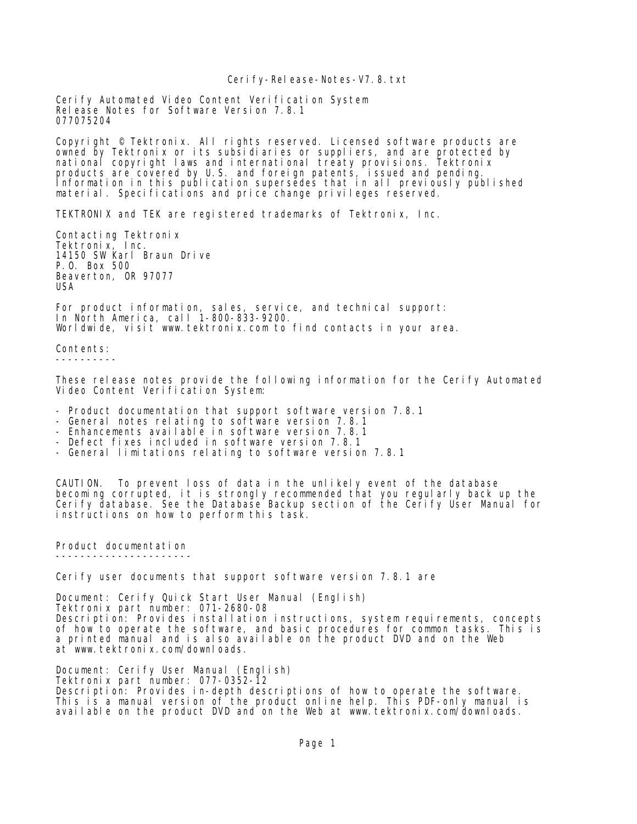## Cerify-Release-Notes-V7.8.txt

Cerify Automated Video Content Verification System Release Notes for Software Version 7.8.1 077075204

Copyright © Tektronix. All rights reserved. Licensed software products are owned by Tektronix or its subsidiaries or suppliers, and are protected by national copyright laws and international treaty provisions. Tektronix products are covered by U.S. and foreign patents, issued and pending. Information in this publication supersedes that in all previously published material. Specifications and price change privileges reserved.

TEKTRONIX and TEK are registered trademarks of Tektronix, Inc.

Contacting Tektronix Tektronix, Inc. 14150 SW Karl Braun Drive P.O. Box 500 Beaverton, OR 97077 USA

For product information, sales, service, and technical support: In North America, call 1-800-833-9200. Worldwide, visit www.tektronix.com to find contacts in your area.

Contents: ----------

These release notes provide the following information for the Cerify Automated Video Content Verification System:

- Product documentation that support software version 7.8.1
- General notes relating to software version 7.8.1
- Enhancements available in software version 7.8.1
- Defect fixes included in software version 7.8.1
- General limitations relating to software version 7.8.1

CAUTION. To prevent loss of data in the unlikely event of the database becoming corrupted, it is strongly recommended that you regularly back up the Cerify database. See the Database Backup section of the Cerify User Manual for instructions on how to perform this task.

Product documentation ----------------------

Cerify user documents that support software version 7.8.1 are

Document: Cerify Quick Start User Manual (English) Tektronix part number: 071-2680-08 Description: Provides installation instructions, system requirements, concepts of how to operate the software, and basic procedures for common tasks. This is a printed manual and is also available on the product DVD and on the Web at www.tektronix.com/downloads.

Document: Cerify User Manual (English) Tektronix part number: 077-0352-12 Description: Provides in-depth descriptions of how to operate the software. This is a manual version of the product online help. This PDF-only manual is available on the product DVD and on the Web at www.tektronix.com/downloads.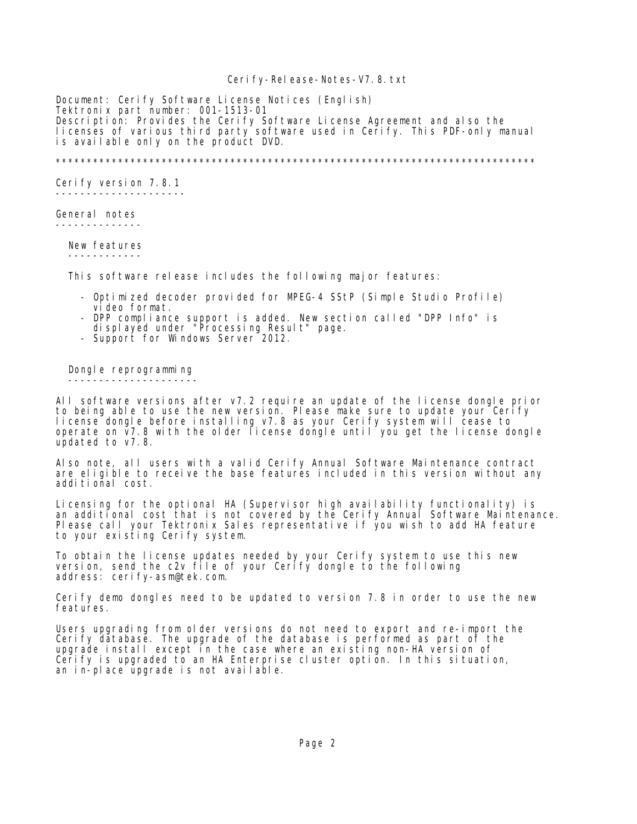## Cerify-Release-Notes-V7.8.txt

Document: Cerify Software License Notices (English) Tektronix part number: 001-1513-01 Description: Provides the Cerify Software License Agreement and also the licenses of various third party software used in Cerify. This PDF-only manual is available only on the product DVD.

\*\*\*\*\*\*\*\*\*\*\*\*\*\*\*\*\*\*\*\*\*\*\*\*\*\*\*\*\*\*\*\*\*\*\*\*\*\*\*\*\*\*\*\*\*\*\*\*\*\*\*\*\*\*\*\*\*\*\*\*\*\*\*\*\*\*\*\*\*\*\*\*\*\*\*\*\*

Cerify version 7.8.1 ---------------------

General notes --------------

 New features ------------

This software release includes the following major features:

- Optimized decoder provided for MPEG-4 SStP (Simple Studio Profile) video format.
- DPP compliance support is added. New section called "DPP Info" is
- displayed under "Processing Result" page.
- Support for Windows Server 2012.

Dongle reprogramming ---------------------

All software versions after v7.2 require an update of the license dongle prior to being able to use the new version. Please make sure to update your Cerify license dongle before installing v7.8 as your Cerify system will cease to operate on v7.8 with the older license dongle until you get the license dongle updated to v7.8.

Also note, all users with a valid Cerify Annual Software Maintenance contract are eligible to receive the base features included in this version without any additional cost.

Licensing for the optional HA (Supervisor high availability functionality) is an additional cost that is not covered by the Cerify Annual Software Maintenance. Please call your Tektronix Sales representative if you wish to add HA feature to your existing Cerify system.

To obtain the license updates needed by your Cerify system to use this new version, send the c2v file of your Cerify dongle to the following address: cerify-asm@tek.com.

Cerify demo dongles need to be updated to version 7.8 in order to use the new features.

Users upgrading from older versions do not need to export and re-import the Cerify database. The upgrade of the database is performed as part of the upgrade install except in the case where an existing non-HA version of Cerify is upgraded to an HA Enterprise cluster option. In this situation, an in-place upgrade is not available.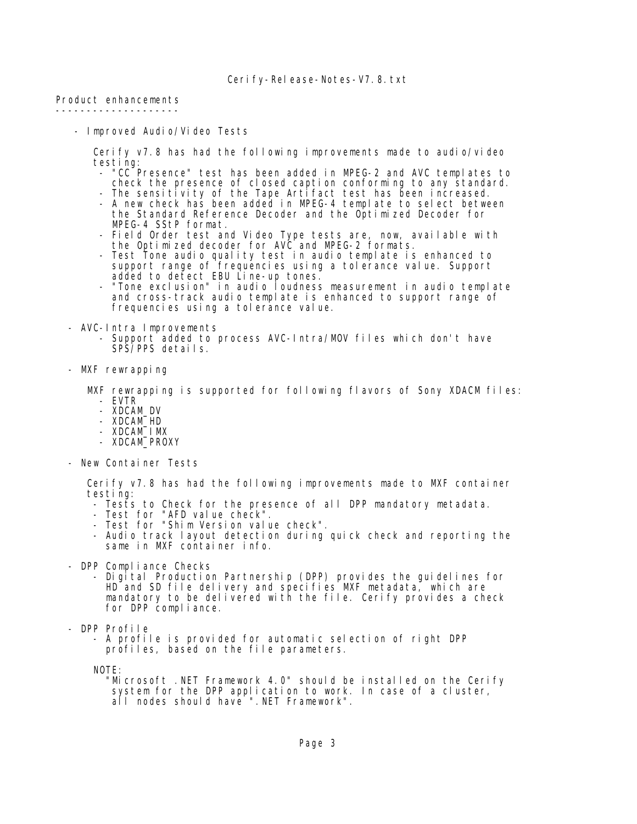Product enhancements --------------------

- Improved Audio/Video Tests

 Cerify v7.8 has had the following improvements made to audio/video testing:

- "CC Presence" test has been added in MPEG-2 and AVC templates to check the presence of closed caption conforming to any standard.
- The sensitivity of the Tape Artifact test has been increased. - A new check has been added in MPEG-4 template to select between the Standard Reference Decoder and the Optimized Decoder for MPEG-4 SStP format.
- Field Order test and Video Type tests are, now, available with the Optimized decoder for AVC and MPEG-2 formats.
	- Test Tone audio quality test in audio template is enhanced to support range of frequencies using a tolerance value. Support added to detect EBU Line-up tones.
	- "Tone exclusion" in audio loudness measurement in audio template and cross-track audio template is enhanced to support range of frequencies using a tolerance value.
	- AVC-Intra Improvements
		- Support added to process AVC-Intra/MOV files which don't have SPS/PPS details.
	- MXF rewrapping

 MXF rewrapping is supported for following flavors of Sony XDACM files: - EVTR

- XDCAM\_DV
- XDCAM\_HD
- XDCAM\_IMX
- XDCAM\_PROXY
- New Container Tests

 Cerify v7.8 has had the following improvements made to MXF container testing:

- Tests to Check for the presence of all DPP mandatory metadata.
- Test for "AFD value check".
- Test for "Shim Version value check".
- Audio track layout detection during quick check and reporting the same in MXF container info.
- DPP Compliance Checks
- Digital Production Partnership (DPP) provides the guidelines for HD and SD file delivery and specifies MXF metadata, which are mandatory to be delivered with the file. Cerify provides a check for DPP compliance.
	- DPP Profile
		- A profile is provided for automatic selection of right DPP profiles, based on the file parameters.

NOTE:

 "Microsoft .NET Framework 4.0" should be installed on the Cerify system for the DPP application to work. In case of a cluster, all nodes should have ".NET Framework".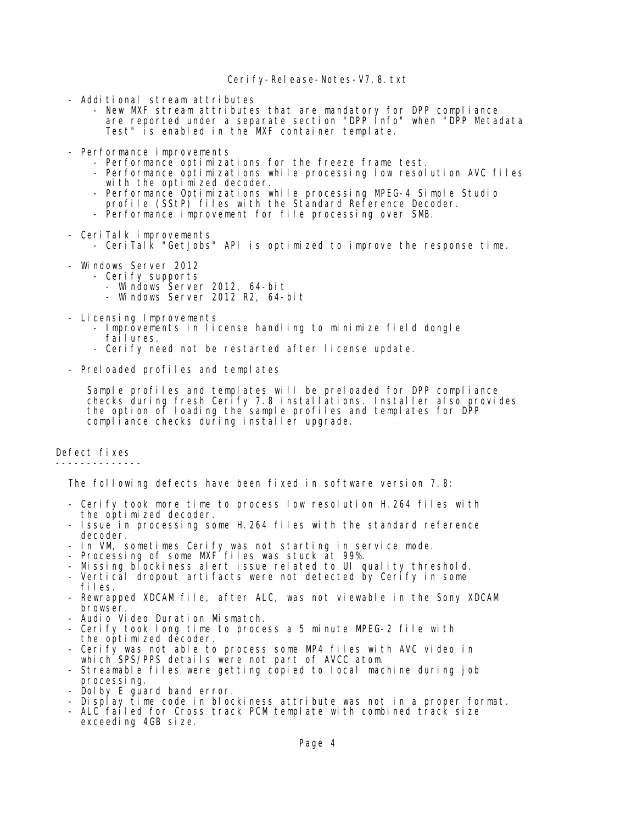## Cerify-Release-Notes-V7.8.txt

- Additional stream attributes
- New MXF stream attributes that are mandatory for DPP compliance are reported under a separate section "DPP Info" when "DPP Metadata Test" is enabled in the MXF container template.
	- Performance improvements
		- Performance optimizations for the freeze frame test.
		- Performance optimizations while processing low resolution AVC files with the optimized decoder.
- Performance Optimizations while processing MPEG-4 Simple Studio
- profile (SStP) files with the Standard Reference Decoder.
	- Performance improvement for file processing over SMB.
	- CeriTalk improvements
		- CeriTalk "GetJobs" API is optimized to improve the response time.
	- Windows Server 2012
		- Cerify supports
- Windows Server 2012, 64-bit
- Windows Server 2012 R2, 64-bit
	- Licensing Improvements
		- Improvements in license handling to minimize field dongle failures.
		- Cerify need not be restarted after license update.
	- Preloaded profiles and templates

 Sample profiles and templates will be preloaded for DPP compliance checks during fresh Cerify 7.8 installations. Installer also provides the option of loading the sample profiles and templates for DPP compliance checks during installer upgrade.

Defect fixes

--------------

The following defects have been fixed in software version 7.8:

- Cerify took more time to process low resolution H.264 files with the optimized decoder.
- Issue in processing some H.264 files with the standard reference decoder.
- In VM, sometimes Cerify was not starting in service mode.
- Processing of some MXF files was stuck at 99%.
	- Missing blockiness alert issue related to UI quality threshold.
	- Vertical dropout artifacts were not detected by Cerify in some files.
	- Rewrapped XDCAM file, after ALC, was not viewable in the Sony XDCAM browser.
	- Audio Video Duration Mismatch.
	- Cerify took long time to process a 5 minute MPEG-2 file with the optimized decoder.
	- Cerify was not able to process some MP4 files with AVC video in which SPS/PPS details were not part of AVCC atom.
	- Streamable files were getting copied to local machine during job processing.
- Dolby E guard band error.
- Display time code in blockiness attribute was not in a proper format.
	- ALC failed for Cross track PCM template with combined track size exceeding 4GB size.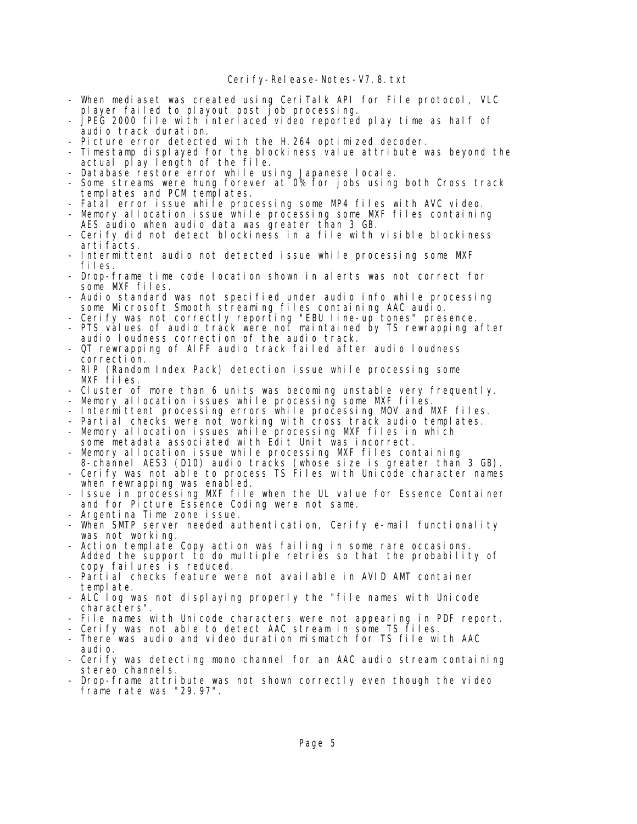- When mediaset was created using CeriTalk API for File protocol, VLC player failed to playout post job processing.
- JPEG 2000 file with interlaced video reported play time as half of audio track duration.
- Picture error detected with the H. 264 optimized decoder.
- Timestamp displayed for the blockiness value attribute was beyond the actual play length of the file.
- Database restore error while using Japanese locale.
- Some streams were hung forever at 0% for jobs using both Cross track templates and PCM templates.
- Fatal error issue while processing some MP4 files with AVC video.
- Memory allocation issue while processing some MXF files containing AES audio when audio data was greater than 3 GB.
- Cerify did not detect blockiness in a file with visible blockiness arti facts.
- Intermittent audio not detected issue while processing some MXF files.
- Drop-frame time code location shown in alerts was not correct for some MXF files.
- Audio standard was not specified under audio info while processing some Microsoft Smooth streaming files containing AAC audio.
- Cerify was not correctly reporting "EBU line-up tones" presence.
- PTS values of audio track were not maintained by TS rewrapping after audio loudness correction of the audio track.
	- QT rewrapping of AIFF audio track failed after audio loudness correction.
	- RIP (Random Index Pack) detection issue while processing some MXF files.
	- Cluster of more than 6 units was becoming unstable very frequently.
- Memory allocation issues while processing some MXF files.
- Intermittent processing errors while processing MOV and MXF files.
	- Partial checks were not working with cross track audio templates.
	- Memory allocation issues while processing MXF files in which some metadata associated with Edit Unit was incorrect.
	- Memory allocation issue while processing MXF files containing
- 8-channel AES3 (D10) audio tracks (whose size is greater than 3 GB). - Cerify was not able to process TS Files with Unicode character names when rewrapping was enabled.
	- Issue in processing MXF file when the UL value for Essence Container and for Picture Essence Coding were not same.
	- Argentina Time zone issue.
	- When SMTP server needed authentication, Cerify e-mail functionality was not working.
	- Action template Copy action was failing in some rare occasions. Added the support to do multiple retries so that the probability of copy failures is reduced.
	- Partial checks feature were not available in AVID AMT container template.
	- ALC log was not displaying properly the "file names with Unicode characters".
	- File names with Unicode characters were not appearing in PDF report.
	- Cerify was not able to detect AAC stream in some TS files.
	- There was audio and video duration mismatch for TS file with AAC audio.
	- Cerify was detecting mono channel for an AAC audio stream containing stereo channels.
- Drop-frame attribute was not shown correctly even though the video frame rate was "29.97".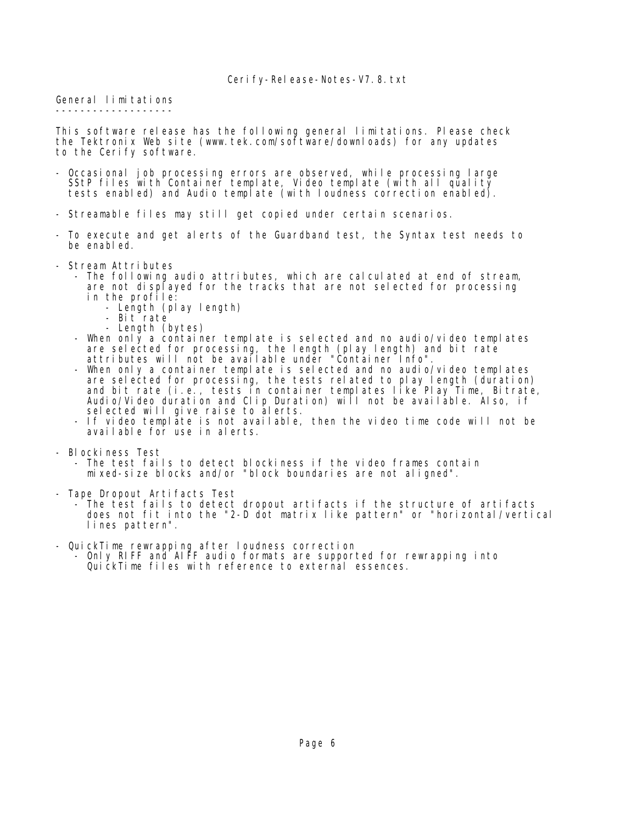General limitations -------------------

This software release has the following general limitations. Please check the Tektronix Web site (www.tek.com/software/downloads) for any updates to the Cerify software.

- Occasional job processing errors are observed, while processing large SStP files with Container template, Video template (with all quality tests enabled) and Audio template (with loudness correction enabled).
- Streamable files may still get copied under certain scenarios.
- To execute and get alerts of the Guardband test, the Syntax test needs to be enabled.
- Stream Attributes
	- The following audio attributes, which are calculated at end of stream, are not displayed for the tracks that are not selected for processing in the profile:
		- Length (play length)
		- Bit rate
		- Length (bytes)
- When only a container template is selected and no audio/video templates are selected for processing, the length (play length) and bit rate attributes will not be available under "Container Info".
- When only a container template is selected and no audio/video templates are selected for processing, the tests related to play length (duration) and bit rate (i.e., tests in container templates like Play Time, Bitrate, Audio/Video duration and Clip Duration) will not be available. Also, if selected will give raise to alerts.
- If video template is not available, then the video time code will not be available for use in alerts.
- Blockiness Test
	- The test fails to detect blockiness if the video frames contain mixed-size blocks and/or "block boundaries are not aligned".
- Tape Dropout Artifacts Test
	- The test fails to detect dropout artifacts if the structure of artifacts does not fit into the "2-D dot matrix like pattern" or "horizontal/vertical lines pattern".
- QuickTime rewrapping after loudness correction - Only RIFF and AIFF audio formats are supported for rewrapping into
	- QuickTime files with reference to external essences.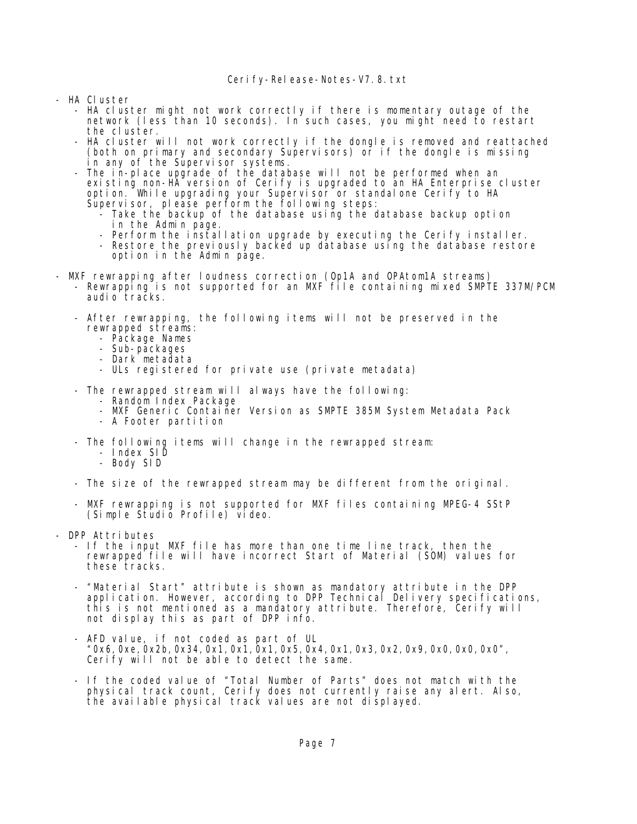- HA Cluster
	- HA cluster might not work correctly if there is momentary outage of the network (less than 10 seconds). In such cases, you might need to restart the cluster.
	- HA cluster will not work correctly if the dongle is removed and reattached (both on primary and secondary Supervisors) or if the dongle is missing in any of the Supervisor systems.
- The in-place upgrade of the database will not be performed when an existing non-HA version of Cerify is upgraded to an HA Enterprise cluster option. While upgrading your Supervisor or standalone Cerify to HA Supervisor, please perform the following steps:
	- Take the backup of the database using the database backup option in the Admin page.
	- Perform the installation upgrade by executing the Cerify installer.
	- Restore the previously backed up database using the database restore option in the Admin page.
- MXF rewrapping after loudness correction (Op1A and OPAtom1A streams)
- Rewrapping is not supported for an MXF file containing mixed SMPTE 337M/PCM audio tracks.
	- After rewrapping, the following items will not be preserved in the rewrapped streams:
		- Package Names
		- Sub-packages
		- Dark metadata
		- ULs registered for private use (private metadata)
	- The rewrapped stream will always have the following:
		- Random Index Package
		- MXF Generic Container Version as SMPTE 385M System Metadata Pack
		- A Footer partition
	- The following items will change in the rewrapped stream:
		- Index SID
		- Body SID
	- The size of the rewrapped stream may be different from the original.
	- MXF rewrapping is not supported for MXF files containing MPEG-4 SStP (Simple Studio Profile) video.
- DPP Attributes
	- If the input MXF file has more than one time line track, then the rewrapped file will have incorrect Start of Material (SOM) values for these tracks.
- "Material Start" attribute is shown as mandatory attribute in the DPP application. However, according to DPP Technical Delivery specifications, this is not mentioned as a mandatory attribute. Therefore, Cerify will not display this as part of DPP info.
	- AFD value, if not coded as part of UL "0x6,0xe,0x2b,0x34,0x1,0x1,0x1,0x5,0x4,0x1,0x3,0x2,0x9,0x0,0x0,0x0", Cerify will not be able to detect the same.
- If the coded value of "Total Number of Parts" does not match with the physical track count, Cerify does not currently raise any alert. Also, the available physical track values are not displayed.